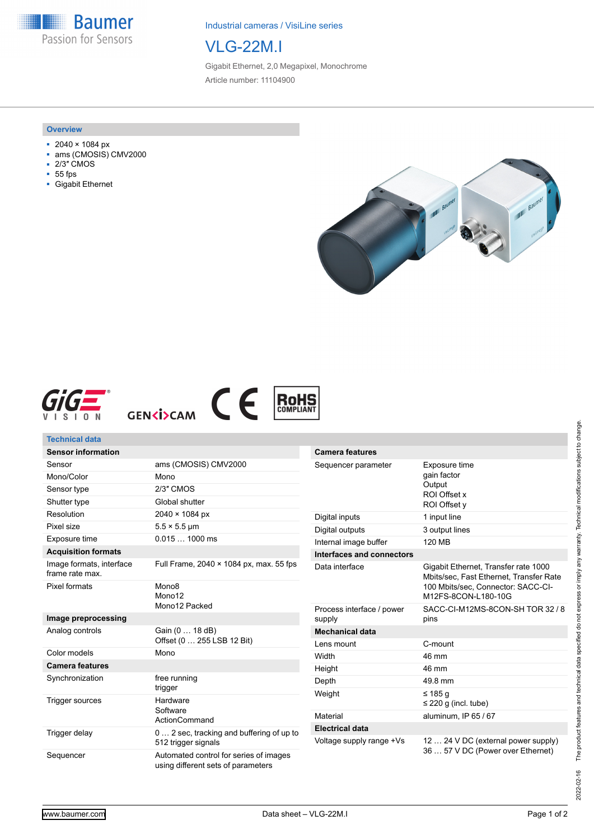**Baumer** H Passion for Sensors

Industrial cameras / VisiLine series

## VLG-22M.I

Gigabit Ethernet, 2,0 Megapixel, Monochrome Article number: 11104900

#### **Overview**

- 2040 × 1084 px
- ams (CMOSIS) CMV2000
- 2/3″ CMOS
- 55 fps
- Gigabit Ethernet









#### **Technical data Sensor information**

| JUISUI IIIIUIIIIAUUII                       |                                                                              |
|---------------------------------------------|------------------------------------------------------------------------------|
| Sensor                                      | ams (CMOSIS) CMV2000                                                         |
| Mono/Color                                  | Mono                                                                         |
| Sensor type                                 | 2/3" CMOS                                                                    |
| Shutter type                                | Global shutter                                                               |
| Resolution                                  | $2040 \times 1084 \text{ px}$                                                |
| Pixel size                                  | $5.5 \times 5.5$ µm                                                          |
| Exposure time                               | $0.0151000$ ms                                                               |
| <b>Acquisition formats</b>                  |                                                                              |
| Image formats, interface<br>frame rate max. | Full Frame, $2040 \times 1084$ px, max, 55 fps                               |
| Pixel formats                               | Mono <sub>8</sub><br>Mono12<br>Mono12 Packed                                 |
| Image preprocessing                         |                                                                              |
| Analog controls                             | Gain (0  18 dB)<br>Offset (0  255 LSB 12 Bit)                                |
| Color models                                | Mono                                                                         |
| <b>Camera features</b>                      |                                                                              |
| Synchronization                             | free running<br>trigger                                                      |
| Trigger sources                             | <b>Hardware</b><br>Software<br><b>ActionCommand</b>                          |
| Trigger delay                               | 0 2 sec, tracking and buffering of up to<br>512 trigger signals              |
| Sequencer                                   | Automated control for series of images<br>using different sets of parameters |

| <b>Camera features</b>              |                                                                                                                                              |
|-------------------------------------|----------------------------------------------------------------------------------------------------------------------------------------------|
| Sequencer parameter                 | Exposure time<br>gain factor<br>Output<br>ROI Offset x<br>ROI Offset y                                                                       |
| Digital inputs                      | 1 input line                                                                                                                                 |
| Digital outputs                     | 3 output lines                                                                                                                               |
| Internal image buffer               | 120 MB                                                                                                                                       |
| Interfaces and connectors           |                                                                                                                                              |
| Data interface                      | Gigabit Ethernet, Transfer rate 1000<br>Mbits/sec, Fast Ethernet, Transfer Rate<br>100 Mbits/sec, Connector: SACC-CI-<br>M12FS-8CON-L180-10G |
| Process interface / power<br>supply | SACC-CI-M12MS-8CON-SH TOR 32 / 8<br>pins                                                                                                     |
| <b>Mechanical data</b>              |                                                                                                                                              |
| Lens mount                          | C-mount                                                                                                                                      |
| Width                               | 46 mm                                                                                                                                        |
| Height                              | 46 mm                                                                                                                                        |
| Depth                               | 49.8 mm                                                                                                                                      |
| Weight                              | ≤ 185 a<br>$\leq$ 220 g (incl. tube)                                                                                                         |
| Material                            | aluminum, IP 65 / 67                                                                                                                         |
| <b>Electrical data</b>              |                                                                                                                                              |
| Voltage supply range +Vs            | 12  24 V DC (external power supply)<br>36  57 V DC (Power over Ethernet)                                                                     |